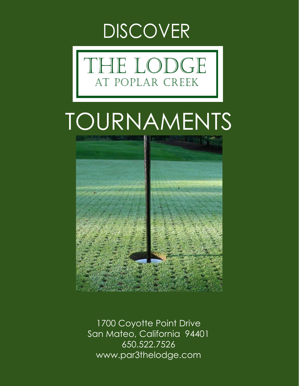



# TOURNAMENTS



1700 Coyotte Point Drive San Mateo, California 94401 650.522.7526 www.par3thelodge.com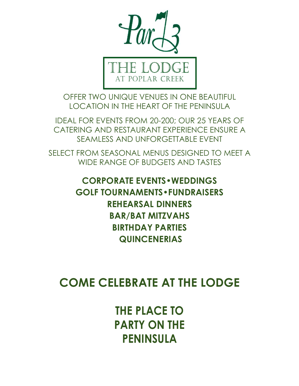

OFFER TWO UNIQUE VENUES IN ONE BEAUTIFUL LOCATION IN THE HEART OF THE PENINSULA

IDEAL FOR EVENTS FROM 20-200; OUR 25 YEARS OF CATERING AND RESTAURANT EXPERIENCE ENSURE A SEAMLESS AND UNFORGETTABLE EVENT

SELECT FROM SEASONAL MENUS DESIGNED TO MEET A WIDE RANGE OF BUDGETS AND TASTES

> **CORPORATE EVENTS•WEDDINGS GOLF TOURNAMENTS•FUNDRAISERS REHEARSAL DINNERS BAR/BAT MITZVAHS BIRTHDAY PARTIES QUINCENERIAS**

**COME CELEBRATE AT THE LODGE**

**THE PLACE TO PARTY ON THE PENINSULA**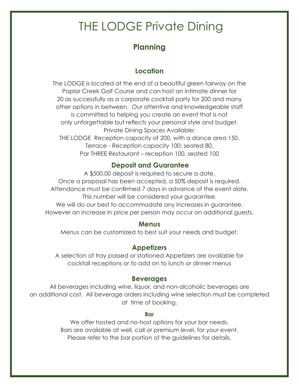# THE LODGE Private Dining

# **Planning**

# **Location**

The LODGE is located at the end of a beautiful green fairway on the Poplar Creek Golf Course and can host an intimate dinner for 20 as successfully as a corporate cocktail party for 200 and many other options in between. Our attentive and knowledgeable staff is committed to helping you create an event that is not only unforgettable but reflects your personal style and budget. Private Dining Spaces Available: THE LODGE Reception capacity of 200, with a dance area 150. Terrace - Reception capacity 100; seated 80, Par THREE Restaurant – reception 100, seated 100

# **Deposit and Guarantee**

A \$500.00 deposit is required to secure a date. Once a proposal has been accepted, a 50% deposit is required. Attendance must be confirmed 7 days in advance of the event date. This number will be considered your guarantee. We will do our best to accommodate any increases in quarantee. However an increase in price per person may occur on additional guests.

#### **Menus**

Menus can be customized to best suit your needs and budget.

### **Appetizers**

A selection of tray passed or stationed Appetizers are available for cocktail receptions or to add on to lunch or dinner menus

#### **Beverages**

All beverages including wine, liquor, and non-alcoholic beverages are an additional cost. All beverage orders including wine selection must be completed at time of booking.

#### **Bar**

We offer hosted and no-host options for your bar needs. Bars are available at well, call or premium level, for your event. Please refer to the bar portion of the guidelines for details.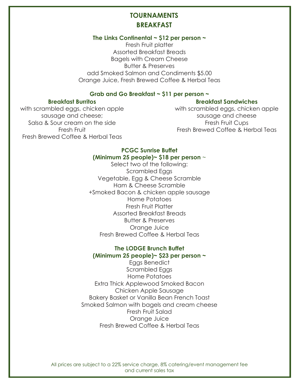## **TOURNAMENTS BREAKFAST**

#### **The Links Continental ~ \$12 per person ~**

Fresh Fruit platter Assorted Breakfast Breads Bagels with Cream Cheese Butter & Preserves add Smoked Salmon and Condiments \$5.00 Orange Juice, Fresh Brewed Coffee & Herbal Teas

#### **Grab and Go Breakfast ~ \$11 per person ~**

#### **Breakfast Burritos**

#### **Breakfast Sandwiches**

with scrambled eggs, chicken apple sausage and cheese; Salsa & Sour cream on the side Fresh Fruit Fresh Brewed Coffee & Herbal Teas

with scrambled eggs, chicken apple sausage and cheese Fresh Fruit Cups Fresh Brewed Coffee & Herbal Teas

#### **PCGC Sunrise Buffet (Minimum 25 people)~ \$18 per person** ~

Select two of the following: Scrambled Eggs Vegetable, Egg & Cheese Scramble Ham & Cheese Scramble +Smoked Bacon & chicken apple sausage Home Potatoes Fresh Fruit Platter Assorted Breakfast Breads Butter & Preserves Orange Juice Fresh Brewed Coffee & Herbal Teas

#### **The LODGE Brunch Buffet (Minimum 25 people)~ \$23 per person ~**

Eggs Benedict Scrambled Eggs Home Potatoes Extra Thick Applewood Smoked Bacon Chicken Apple Sausage Bakery Basket or Vanilla Bean French Toast Smoked Salmon with bagels and cream cheese Fresh Fruit Salad Orange Juice Fresh Brewed Coffee & Herbal Teas

All prices are subject to a 22% service charge, 8% catering/event management fee and current sales tax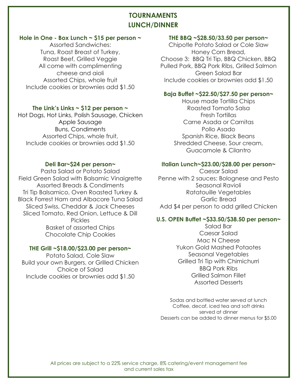# **TOURNAMENTS LUNCH/DINNER**

#### **Hole in One - Box Lunch ~ \$15 per person ~**

Assorted Sandwiches: Tuna, Roast Breast of Turkey, Roast Beef, Grilled Veggie All come with complimenting cheese and aioli Assorted Chips, whole fruit Include cookies or brownies add \$1.50

#### **The Link's Links ~ \$12 per person ~**

Hot Dogs, Hot Links, Polish Sausage, Chicken Apple Sausage Buns, Condiments Assorted Chips, whole fruit, Include cookies or brownies add \$1.50

#### **Deli Bar~\$24 per person~**

Pasta Salad or Potato Salad Field Green Salad with Balsamic Vinaigrette Assorted Breads & Condiments Tri Tip Balsamico, Oven Roasted Turkey & Black Forrest Ham and Albacore Tuna Salad Sliced Swiss, Cheddar & Jack Cheeses Sliced Tomato, Red Onion, Lettuce & Dill Pickles Basket of assorted Chips Chocolate Chip Cookies

#### **THE Grill ~\$18.00/\$23.00 per person~**

Potato Salad, Cole Slaw Build your own Burgers, or Grilled Chicken Choice of Salad Include cookies or brownies add \$1.50

#### **THE BBQ ~\$28.50/33.50 per person~**

Chipotle Potato Salad or Cole Slaw Honey Corn Bread, Choose 3: BBQ Tri Tip, BBQ Chicken, BBQ Pulled Pork, BBQ Pork Ribs, Grilled Salmon Green Salad Bar Include cookies or brownies add \$1.50

#### **Baja Buffet ~\$22.50/\$27.50 per person~**

House made Tortilla Chips Roasted Tomato Salsa Fresh Tortillas Carne Asada or Carnitas Pollo Asado Spanish Rice, Black Beans Shredded Cheese, Sour cream, Guacamole & Cilantro

#### **Italian Lunch~\$23.00/\$28.00 per person~**

Caesar Salad Penne with 2 sauces: Bolognese and Pesto Seasonal Ravioli Ratatouille Vegetables Garlic Bread Add \$4 per person to add grilled Chicken

#### **U.S. OPEN Buffet ~\$33.50/\$38.50 per person~**

Salad Bar Caesar Salad Mac N Cheese Yukon Gold Mashed Potaotes Seasonal Vegetables Grilled Tri Tip with Chimichurri BBQ Pork Ribs Grilled Salmon Fillet Assorted Desserts

Sodas and bottled water served at lunch Coffee, decaf, iced tea and soft drinks served at dinner Desserts can be added to dinner menus for \$5.00